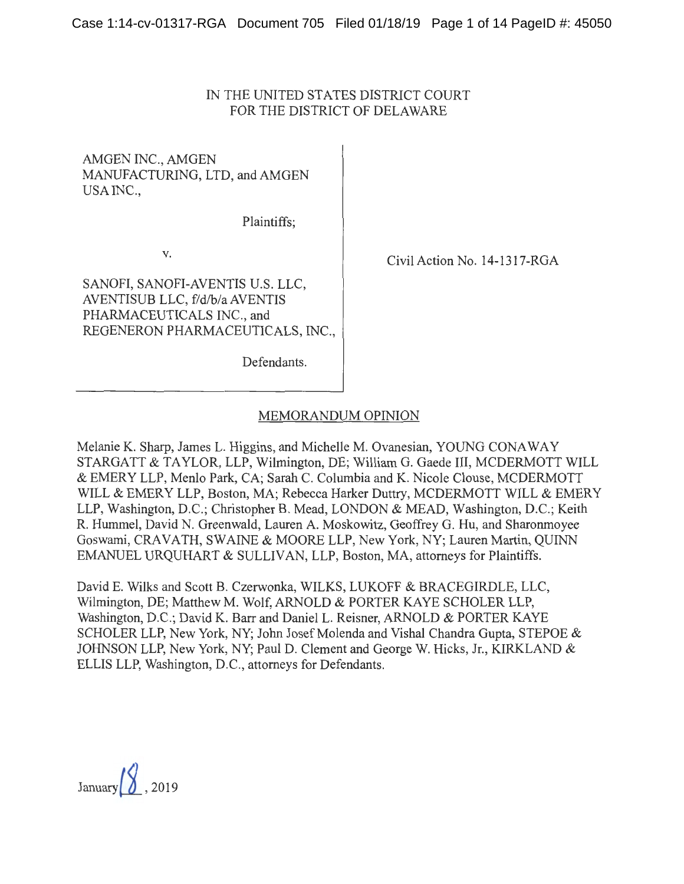## IN THE UNITED STATES DISTRICT COURT FOR THE DISTRICT OF DELAWARE

AMGEN INC., AMGEN MANUFACTURING, LTD, and AMGEN USA INC.,

Plaintiffs;

V.

SANOFI, SANOFI-AVENTIS U.S. LLC, AVENTISUB LLC, f/d/b/aAVENTIS PHARMACEUTICALS INC., and REGENERON PHARMACEUTICALS, INC., Civil Action No. 14-1317-RGA

Defendants.

# MEMORANDUM OPINION

Melanie K. Sharp, James L. Higgins, and Michelle M. Ovanesian, YOUNG CONAWAY STARGATT & TAYLOR, LLP, Wilmington, DE; William G. Gaede III, MCDERMOTT WILL & EMERY LLP, Menlo Park, CA; Sarah C. Columbia and K. Nicole Clouse, MCDERMOTT WILL & EMERY LLP, Boston, MA; Rebecca Harker Duttry, MCDERMOTT WILL & EMERY LLP, Washington, D.C.; Christopher B. Mead, LONDON & MEAD, Washington, D.C.; Keith R. Hummel, David N. Greenwald, Lauren A. Moskowitz, Geoffrey G. Hu, and Sharonmoyee Goswami, CRAVATH, SWAINE & MOORE LLP, New York, NY; Lauren Martin, QUINN EMANUEL URQUHART & SULLIVAN, LLP, Boston, MA, attorneys for Plaintiffs.

David E. Wilks and Scott B. Czerwonka, WILKS, LUKOFF & BRACEGIRDLE, LLC, Wilmington, DE; Matthew M. Wolf, ARNOLD & PORTER KAYE SCHOLER LLP, Washington, D.C.; David K. Barr and Daniel L. Reisner, ARNOLD & PORTER KAYE SCHOLER LLP, New York, NY; John Josef Molenda and Vishal Chandra Gupta, STEPOE & JOHNSON LLP, New York, NY; Paul D. Clement and George W. Hicks, Jr., KIRKLAND & ELLIS LLP, Washington, D.C., attorneys for Defendants.

January *ti,* <sup>2019</sup>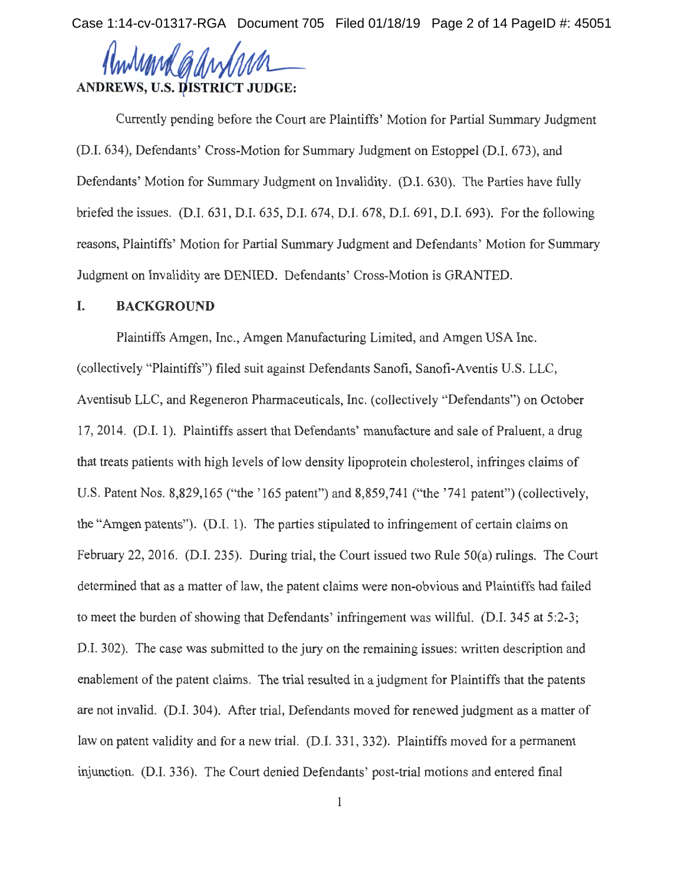Case 1:14-cv-01317-RGA Document 705 Filed 01/18/19 Page 2 of 14 PageID #: 45051

 $^{\prime\prime\prime}$ ANDREWS, U.S. DISTRICT JUDGE:

Currently pending before the Court are Plaintiffs' Motion for Partial Summary Judgment (D.1. 634), Defendants' Cross-Motion for Summary Judgment on Estoppel (D.I. 673), and Defendants' Motion for Summary Judgment on Invalidity. (D.I. 630). The Parties have fully briefed the issues. (D.I. 631, D.I. 635, D.I. 674, D.I. 678, D.I. 691, D.I. 693). For the following reasons, Plaintiffs' Motion for Partial Summary Judgment and Defendants' Motion for Summary Judgment on Invalidity are DENIED. Defendants' Cross-Motion is GRANTED.

#### **I. BACKGROUND**

Plaintiffs Amgen, Inc., Amgen Manufacturing Limited, and Amgen USA Inc. (collectively "Plaintiffs") filed suit against Defendants Sanofi, Sanofi-Aventis U.S. LLC, A ventisub LLC, and Regeneron Pharmaceuticals, Inc. ( collectively "Defendants") on October 17, 2014. (D.1. 1). Plaintiffs assert that Defendants' manufacture and sale of Praluent, a drug that treats patients with high levels of low density lipoprotein cholesterol, infringes claims of U.S. Patent Nos. 8,829,165 ("the '165 patent") and 8,859,741 ("the '741 patent") (collectively, the "Amgen patents"). (D.I. 1). The parties stipulated to infringement of certain claims on February 22, 2016. (D.1. 235). During trial, the Court issued two Rule 50(a) rulings. The Court determined that as a matter of law, the patent claims were non-obvious and Plaintiffs had failed to meet the burden of showing that Defendants' infringement was willful. (D.I. 345 at 5:2-3 ; D.I. 302). The case was submitted to the jury on the remaining issues: written description and enablement of the patent claims. The trial resulted in a judgment for Plaintiffs that the patents are not invalid. (D.I. 304). After trial, Defendants moved for renewed judgment as a matter of law on patent validity and for a new trial. (D.I. 331, 332). Plaintiffs moved for a permanent injunction. (D.1. 336). The Court denied Defendants' post-trial motions and entered final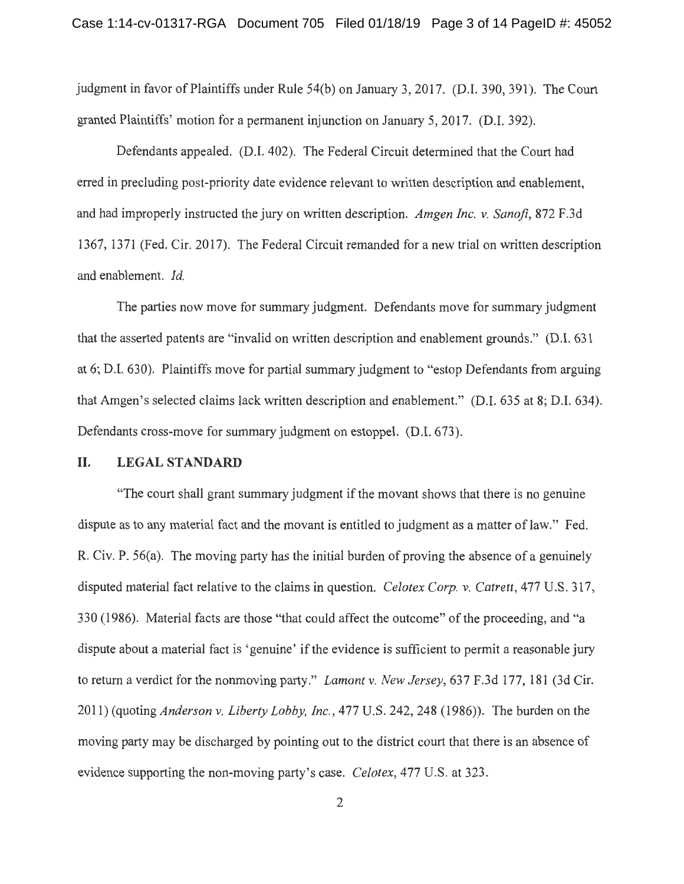judgment in favor of Plaintiffs under Rule 54(b) on January 3, 2017. (D.I. 390, 391). The Court granted Plaintiffs' motion for a permanent injunction on January 5, 2017. (D.I. 392).

Defendants appealed. (D.I. 402). The Federal Circuit determined that the Court had erred in precluding post-priority date evidence relevant to written description and enablement, and had improperly instructed the jury on written description. *Amgen Inc. v. Sanofi,* 872 F.3d 1367, 1371 (Fed. Cir. 2017). The Federal Circuit remanded for a new trial on written description and enablement. *Id.* 

The parties now move for summary judgment. Defendants move for summary judgment that the asserted patents are "invalid on written description and enablement grounds." (D.I. 631 at 6; D.I. 630). Plaintiffs move for partial summary judgment to "estop Defendants from arguing that Amgen's selected claims lack written description and enablement." (D.I. 635 at 8; D.I. 634). Defendants cross-move for summary judgment on estoppel. (D.I. 673).

### **II. LEGALSTANDARD**

"The court shall grant summary judgment if the movant shows that there is no genuine dispute as to any material fact and the movant is entitled to judgment as a matter of law." Fed. R. Civ. P. 56(a). The moving party has the initial burden of proving the absence of a genuinely disputed material fact relative to the claims in question. *Celotex Corp. v. Catrett,* 477 U.S. 317, 330 (1986). Material facts are those "that could affect the outcome" of the proceeding, and "a dispute about a material fact is 'genuine' if the evidence is sufficient to permit a reasonable jury to return a verdict for the nonmoving party." *Lamont v. New Jersey,* 637 F.3d 177, 181 (3d Cir. 2011) (quoting *Anderson v. Liberty Lobby, Inc. ,* 477 U.S. 242,248 (1986)). The burden on the moving party may be discharged by pointing out to the district court that there is an absence of evidence supporting the non-moving party's case. *Celotex,* 477 U.S. at 323.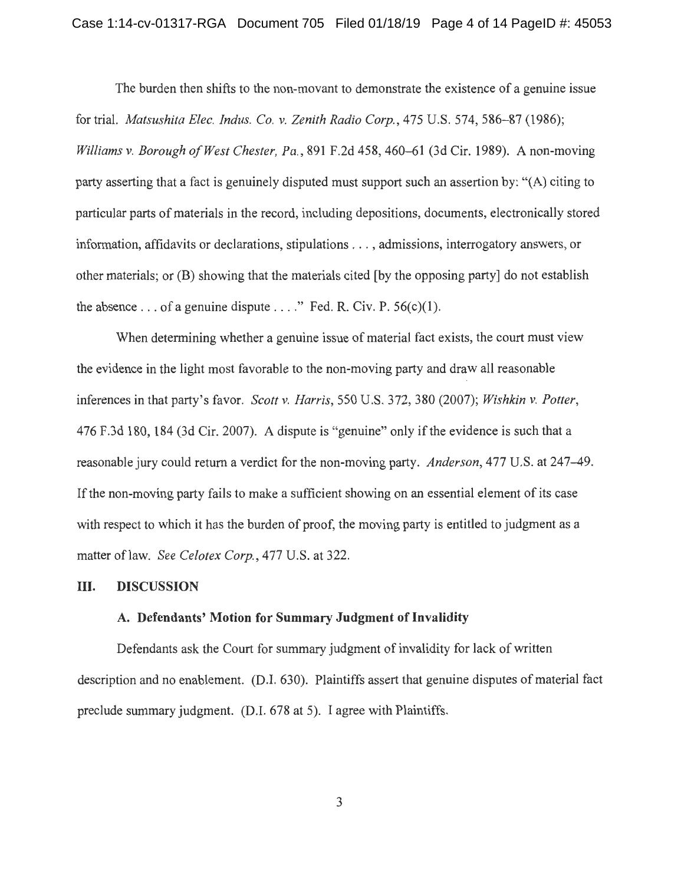#### Case 1:14-cv-01317-RGA Document 705 Filed 01/18/19 Page 4 of 14 PageID #: 45053

The burden then shifts to the non-movant to demonstrate the existence of a genuine issue for trial. *Matsushita Elec. Indus. Co. v. Zenith Radio Corp.,* 475 U.S. 574, 586-87 (1986); *Williams v. Borough of West Chester, Pa. ,* 891 F.2d 458, 460-61 (3d Cir. 1989). A non-moving party asserting that a fact is genuinely disputed must support such an assertion by: "(A) citing to particular parts of materials in the record, including depositions, documents, electronically stored information, affidavits or declarations, stipulations ... , admissions, interrogatory answers, or other materials; or (B) showing that the materials cited [by the opposing party] do not establish the absence ... of a genuine dispute ...." Fed. R. Civ. P.  $56(c)(1)$ .

When determining whether a genuine issue of material fact exists, the court must view the evidence in the light most favorable to the non-moving party and draw all reasonable inferences in that party's favor. *Scott v. Harris,* 550 U.S. 372, 380 (2007); *Wishkin v. Potter,*  476 F.3d 180, 184 (3d Cir. 2007). A dispute is "genuine" only if the evidence is such that a reasonable jury could return a verdict for the non-moving party. *Anderson,* 477 U.S. at 247-49. If the non-moving party fails to make a sufficient showing on an essential element of its case with respect to which it has the burden of proof, the moving party is entitled to judgment as a matter of law. *See Celotex Corp.,* 477 U.S. at 322.

### **III. DISCUSSION**

### **A. Defendants' Motion for Summary Judgment of Invalidity**

Defendants ask the Court for summary judgment of invalidity for lack of written description and no enablement. (D.I. 630). Plaintiffs assert that genuine disputes of material fact preclude summary judgment. (D.I. 678 at 5). I agree with Plaintiffs.

3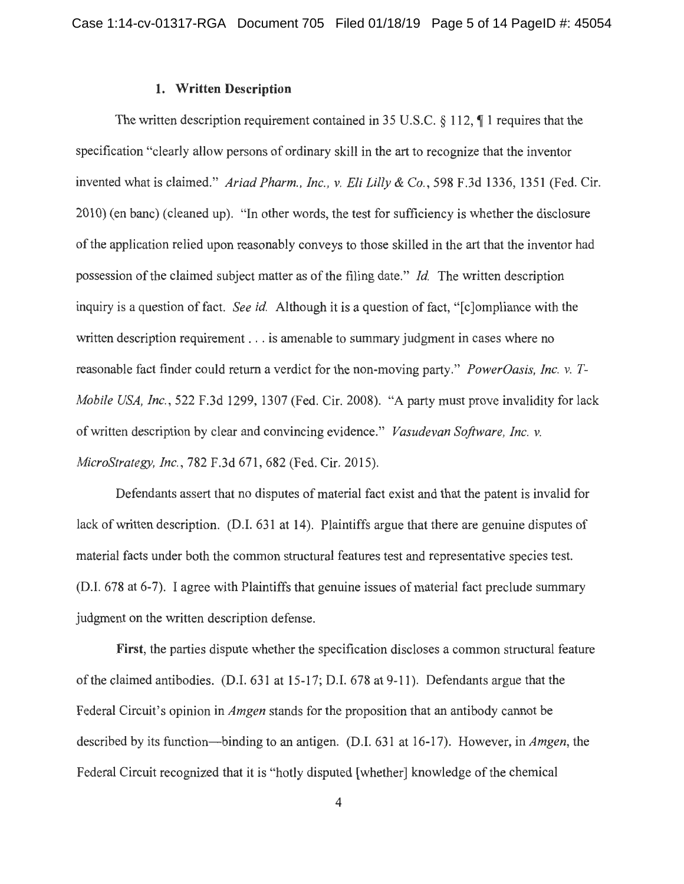### **1. Written Description**

The written description requirement contained in 35 U.S.C.  $\S$  112,  $\P$  1 requires that the specification "clearly allow persons of ordinary skill in the art to recognize that the inventor invented what is claimed." *Ariad Pharm., Inc., v. Eli Lilly & Co.,* 598 F.3d 1336, 1351 (Fed. Cir. 2010) (en banc) (cleaned up). "In other words, the test for sufficiency is whether the disclosure of the application relied upon reasonably conveys to those skilled in the art that the inventor had possession of the claimed subject matter as of the filing date. " *Id.* The written description inquiry is a question of fact. *See id.* Although it is a question of fact, "[c]ompliance with the written description requirement . . . is amenable to summary judgment in cases where no reasonable fact finder could return a verdict for the non-moving party." *PowerOasis, Inc. v. T-Mobile USA, Inc.,* 522 F.3d 1299, 1307 (Fed. Cir. 2008). "A party must prove invalidity for lack of written description by clear and convincing evidence." *Vasudevan Software, Inc. v. MicroStrategy, Inc.,* 782 F.3d 671 , 682 (Fed. Cir. 2015).

Defendants assert that no disputes of material fact exist and that the patent is invalid for lack of written description. (D.I. 631 at 14). Plaintiffs argue that there are genuine disputes of material facts under both the common structural features test and representative species test. (D.1. 678 at 6-7). I agree with Plaintiffs that genuine issues of material fact preclude summary judgment on the written description defense.

**First,** the parties dispute whether the specification discloses a common structural feature of the claimed antibodies. (D.I. 631 at 15-17; D.I. 678 at 9-11). Defendants argue that the Federal Circuit's opinion in *Amgen* stands for the proposition that an antibody cannot be described by its function- binding to an antigen. (D.I. 631 at 16-17). However, in *Amgen,* the Federal Circuit recognized that it is "hotly disputed [whether] knowledge of the chemical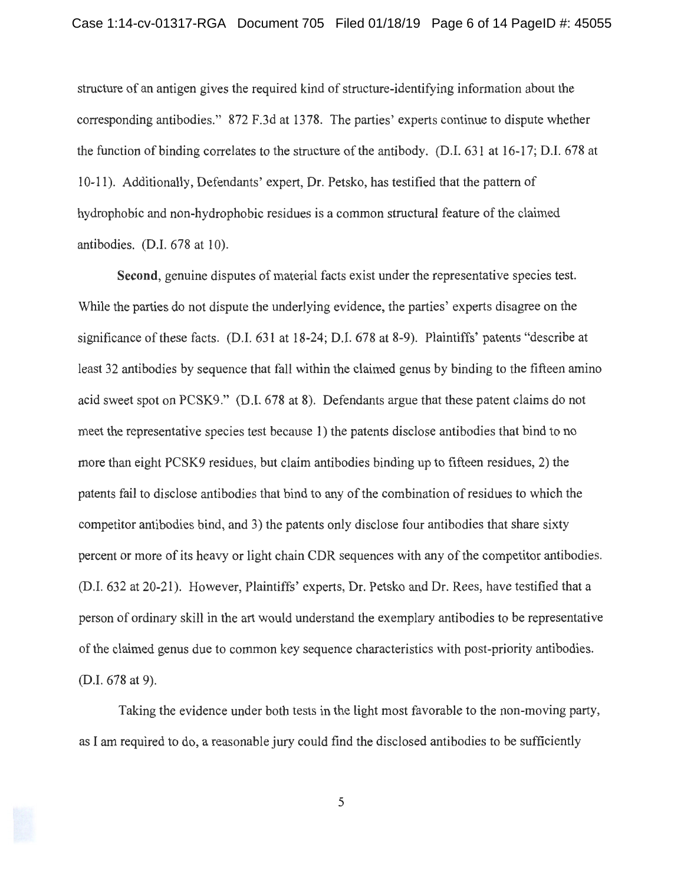structure of an antigen gives the required kind of structure-identifying information about the corresponding antibodies." 872 F.3d at 1378. The parties' experts continue to dispute whether the function of binding correlates to the structure of the antibody. (D.I. 631 at 16-17; D.I. 678 at 10-11). Additionally, Defendants' expert, Dr. Petsko, has testified that the pattern of hydrophobic and non-hydrophobic residues is a common structural feature of the claimed antibodies. (D.I. 678 at 10).

**Second,** genuine disputes of material facts exist under the representative species test. While the parties do not dispute the underlying evidence, the parties' experts disagree on the significance of these facts. (D.I. 631 at 18-24; D.I. 678 at 8-9). Plaintiffs' patents "describe at least 32 antibodies by sequence that fall within the claimed genus by binding to the fifteen amino acid sweet spot on PCSK9." (DJ. 678 at 8). Defendants argue that these patent claims do not meet the representative species test because 1) the patents disclose antibodies that bind to no more than eight PCSK9 residues, but claim antibodies binding up to fifteen residues, 2) the patents fail to disclose antibodies that bind to any of the combination of residues to which the competitor antibodies bind, and 3) the patents only disclose four antibodies that share sixty percent or more of its heavy or light chain CDR sequences with any of the competitor antibodies. (D.I. 632 at 20-21). However, Plaintiffs' experts, Dr. Petsko and Dr. Rees, have testified that a person of ordinary skill in the art would understand the exemplary antibodies to be representative of the claimed genus due to common key sequence characteristics with post-priority antibodies. (D.I. 678 at 9).

Taking the evidence under both tests in the light most favorable to the non-moving party, as I am required to do, a reasonable jury could find the disclosed antibodies to be sufficiently

5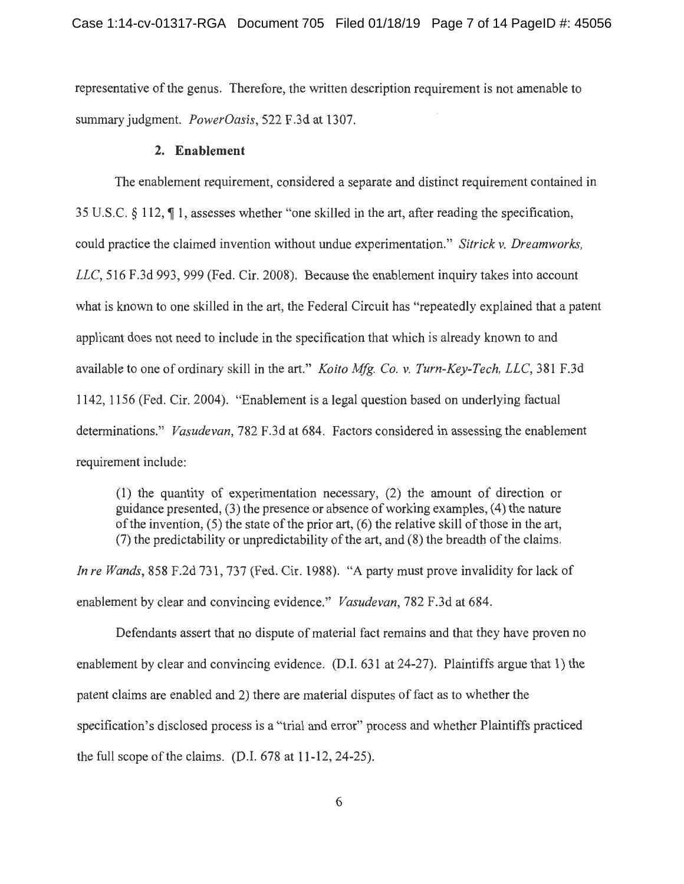representative of the genus. Therefore, the written description requirement is not amenable to summary judgment. *PowerOasis,* 522 F.3d at 1307.

### **2. Enablement**

The enablement requirement, considered a separate and distinct requirement contained in 35 U.S.C.  $\S$  112,  $\P$  1, assesses whether "one skilled in the art, after reading the specification, could practice the claimed invention without undue experimentation." *Sitrick* v. *Dreamworks, LLC,* 516 F.3d 993, 999 (Fed. Cir. 2008). Because the enablement inquiry takes into account what is known to one skilled in the art, the Federal Circuit has "repeatedly explained that a patent applicant does not need to include in the specification that which is already known to and available to one of ordinary skill in the art." *Koito Mfg. Co.* v. *Turn-Key-Tech, LLC,* 381 F.3d 1142, 1156 (Fed. Cir. 2004). "Enablement is a legal question based on underlying factual determinations." *Vasudevan,* 782 F.3d at 684. Factors considered in assessing the enablement requirement include:

(1) the quantity of experimentation necessary, (2) the amount of direction or guidance presented, (3) the presence or absence of working examples, (4) the nature of the invention, (5) the state of the prior art, (6) the relative skill of those in the art, (7) the predictability or unpredictability of the art, and (8) the breadth of the claims.

*In re Wands*, 858 F.2d 731, 737 (Fed. Cir. 1988). "A party must prove invalidity for lack of enablement by clear and convincing evidence." *Vasudevan,* 782 F.3d at 684.

Defendants assert that no dispute of material fact remains and that they have proven no enablement by clear and convincing evidence. (D.I. 631 at 24-27). Plaintiffs argue that 1) the patent claims are enabled and 2) there are material disputes of fact as to whether the specification's disclosed process is a "trial and error" process and whether Plaintiffs practiced the full scope of the claims. (D.I. 678 at 11-12, 24-25).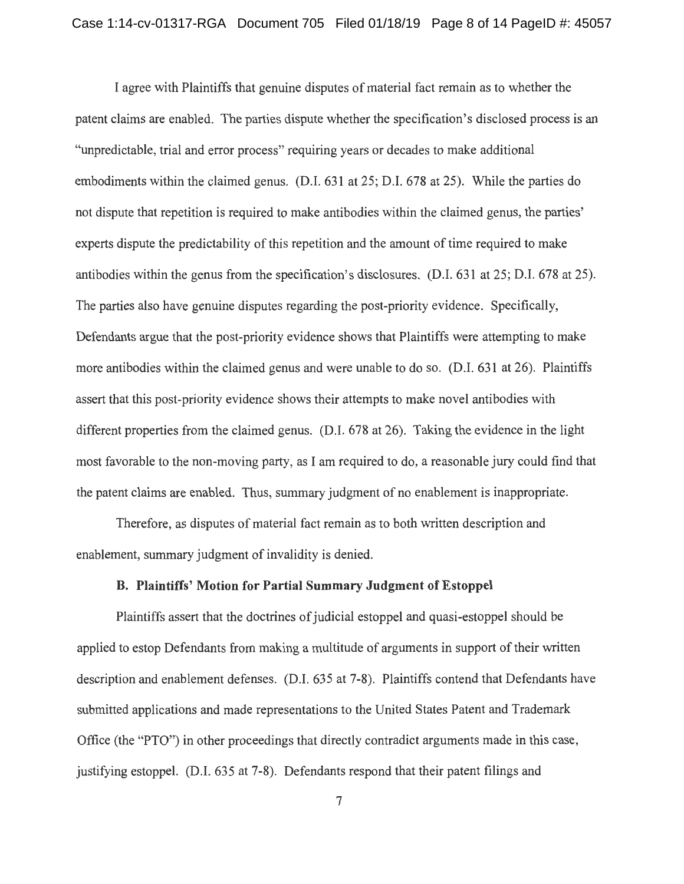I agree with Plaintiffs that genuine disputes of material fact remain as to whether the patent claims are enabled. The parties dispute whether the specification's disclosed process is an "unpredictable, trial and error process" requiring years or decades to make additional embodiments within the claimed genus. (D.I. 631 at 25; D.I. 678 at 25). While the parties do not dispute that repetition is required to make antibodies within the claimed genus, the parties' experts dispute the predictability of this repetition and the amount of time required to make antibodies within the genus from the specification's disclosures. (D.I. 631 at 25; D.I. 678 at 25). The parties also have genuine disputes regarding the post-priority evidence. Specifically, Defendants argue that the post-priority evidence shows that Plaintiffs were attempting to make more antibodies within the claimed genus and were unable to do so. (D.I. 631 at 26). Plaintiffs assert that this post-priority evidence shows their attempts to make novel antibodies with different properties from the claimed genus. (D.I. 678 at 26). Taking the evidence in the light most favorable to the non-moving party, as I am required to do, a reasonable jury could find that the patent claims are enabled. Thus, summary judgment of no enablement is inappropriate.

Therefore, as disputes of material fact remain as to both written description and enablement, summary judgment of invalidity is denied.

### **B. Plaintiffs' Motion for Partial Summary Judgment of Estoppel**

Plaintiffs assert that the doctrines of judicial estoppel and quasi-estoppel should be applied to estop Defendants from making a multitude of arguments in support of their written description and enablement defenses. (D.I. 635 at 7-8). Plaintiffs contend that Defendants have submitted applications and made representations to the United States Patent and Trademark Office (the "PTO") in other proceedings that directly contradict arguments made in this case, justifying estoppel. (D.I. 635 at 7-8). Defendants respond that their patent filings and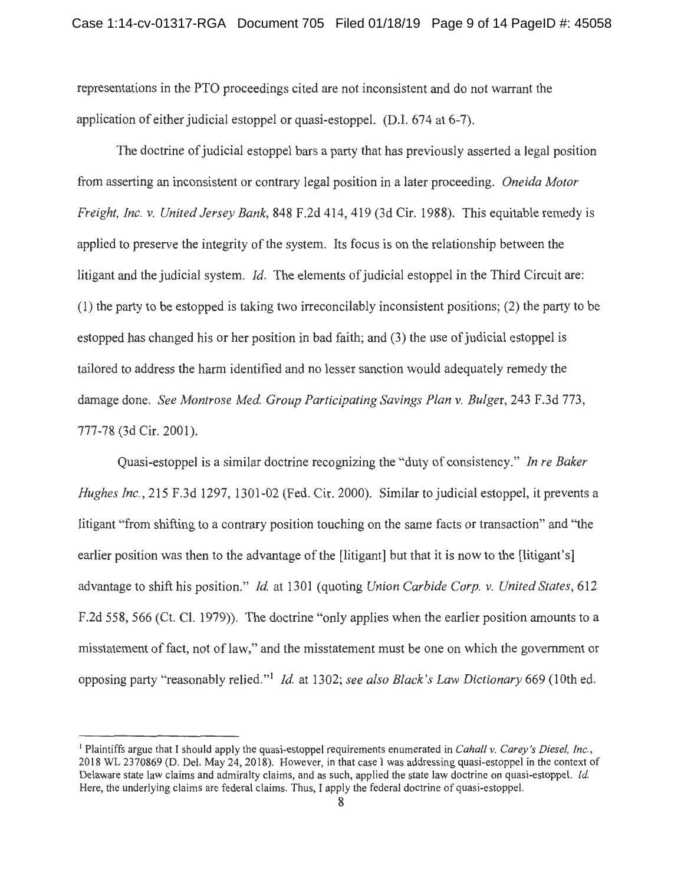representations in the PTO proceedings cited are not inconsistent and do not warrant the application of either judicial estoppel or quasi-estoppel. (D.I. 674 at 6-7).

The doctrine of judicial estoppel bars a party that has previously asserted a legal position from asserting an inconsistent or contrary legal position in a later proceeding. *Oneida Motor Freight, Inc. v. United Jersey Bank,* 848 F.2d 414,419 (3d Cir. 1988). This equitable remedy is applied to preserve the integrity of the system. Its focus is on the relationship between the litigant and the judicial system. *Id.* The elements of judicial estoppel in the Third Circuit are: (1) the party to be estopped is taking two irreconcilably inconsistent positions; (2) the party to be estopped has changed his or her position in bad faith; and (3) the use of judicial estoppel is tailored to address the harm identified and no lesser sanction would adequately remedy the damage done. *See Montrose Med. Group Participating Savings Plan v. Bulger*, 243 F.3d 773, 777-78 (3d Cir. 2001).

Quasi-estoppel is a similar doctrine recognizing the "duty of consistency." *In re Baker Hughes Inc. ,* 215 F.3d 1297, 1301-02 (Fed. Cir. 2000). Similar to judicial estoppel, it prevents a litigant "from shifting to a contrary position touching on the same facts or transaction" and "the earlier position was then to the advantage of the [litigant] but that it is now to the [litigant's] advantage to shift his position." *Id.* at 1301 (quoting *Union Carbide Corp. v. United States,* 612 F.2d 558, 566 (Ct. Cl. 1979)). The doctrine "only applies when the earlier position amounts to a misstatement of fact, not of law," and the misstatement must be one on which the government or opposing party "reasonably relied." <sup>1</sup>*Id.* at 1302; *see also Black's Law Dictionary* 669 (10th ed.

<sup>1</sup>Plaintiffs argue that I should apply the quasi-estoppel requirements enumerated in *Cahall v. Carey's Diesel, Inc.,*  2018 WL 2370869 (D. Del. May 24, 2018). However, in that case I was addressing quasi-estoppel in the context of Delaware state law claims and admiralty claims, and as such, applied the state law doctrine on quasi-estoppel. *Id.*  Here, the underlying claims are federal claims. Thus, I apply the federal doctrine of quasi-estoppel.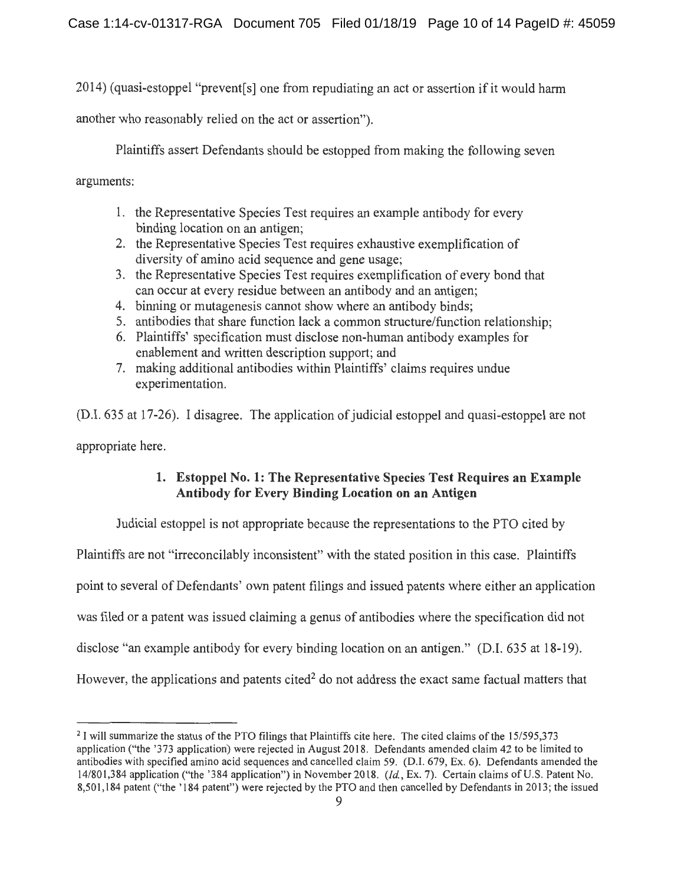2014) (quasi-estoppel "prevent[s] one from repudiating an act or assertion if it would harm

another who reasonably relied on the act or assertion").

Plaintiffs assert Defendants should be estopped from making the following seven arguments:

- 1. the Representative Species Test requires an example antibody for every binding location on an antigen;
- 2. the Representative Species Test requires exhaustive exemplification of diversity of amino acid sequence and gene usage;
- 3. the Representative Species Test requires exemplification of every bond that can occur at every residue between an antibody and an antigen;
- 4. binning or mutagenesis cannot show where an antibody binds;
- 5. antibodies that share function lack a common structure/function relationship;
- 6. Plaintiffs' specification must disclose non-human antibody examples for enablement and written description support; and
- 7. making additional antibodies within Plaintiffs' claims requires undue experimentation.

(D.I. 635 at 17-26). I disagree. The application of judicial estoppel and quasi-estoppel are not appropriate here.

# **1. Estoppel No. 1: The Representative Species Test Requires an Example Antibody for Every Binding Location on an Antigen**

Judicial estoppel is not appropriate because the representations to the PTO cited by

Plaintiffs are not "irreconcilably inconsistent" with the stated position in this case. Plaintiffs point to several of Defendants' own patent filings and issued patents where either an application was filed or a patent was issued claiming a genus of antibodies where the specification did not disclose "an example antibody for every binding location on an antigen." (D.I. 635 at 18-19). However, the applications and patents cited<sup>2</sup> do not address the exact same factual matters that

<sup>2</sup> I will summarize the status of the PTO filings that Plaintiffs cite here. The cited claims of the 15/595,373 application ("the '373 application) were rejected in August 2018. Defendants amended claim 42 to be limited to antibodies with specified amino acid sequences and cancelled claim 59. (D.I. 679, Ex. 6). Defendants amended the 14/801 ,384 application ("the '384 application") in November 2018. *(Id.,* Ex. 7). Certain claims of U.S. Patent No. 8,501 ,184 patent ("the '184 patent") were rejected by the PTO and then cancelled by Defendants in 2013; the issued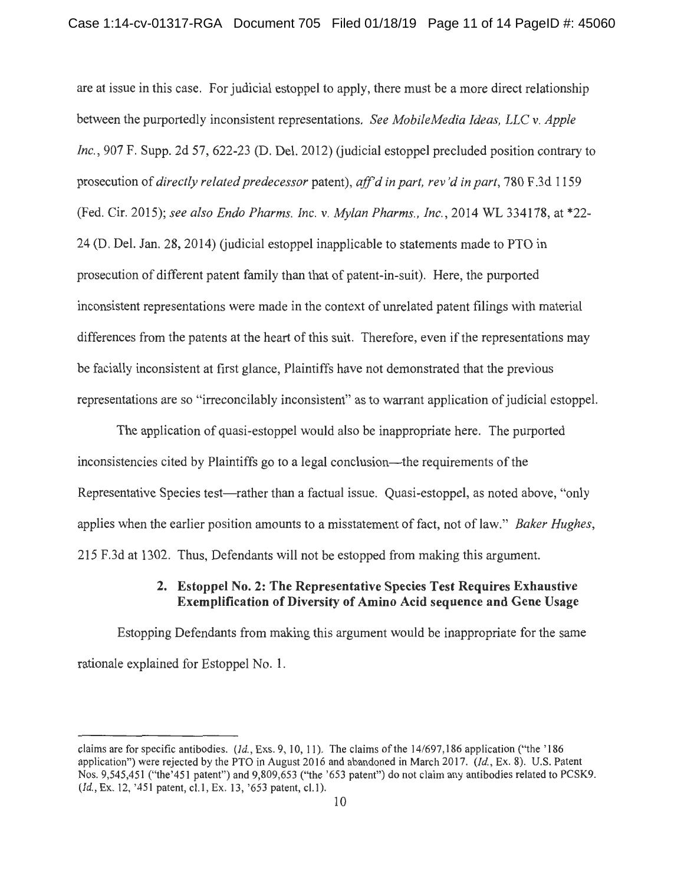### Case 1:14-cv-01317-RGA Document 705 Filed 01/18/19 Page 11 of 14 PageID #: 45060

are at issue in this case. For judicial estoppel to apply, there must be a more direct relationship between the purportedly inconsistent representations. *See MobileMedia Ideas, LLC v. Apple Inc.*, 907 F. Supp. 2d 57, 622-23 (D. Del. 2012) (judicial estoppel precluded position contrary to prosecution of *directly related predecessor* patent), *aff'd in part, rev 'din part,* 780 F.3d 1159 (Fed. Cir. 2015); *see also Endo Pharms. Inc. v. Mylan Pharms., Inc. ,* 2014 WL 334178, at \*22- 24 (D. Del. Jan. 28, 2014) (judicial estoppel inapplicable to statements made to PTO in prosecution of different patent family than that of patent-in-suit). Here, the purported inconsistent representations were made in the context of unrelated patent filings with material differences from the patents at the heart of this suit. Therefore, even if the representations may be facially inconsistent at first glance, Plaintiffs have not demonstrated that the previous representations are so "irreconcilably inconsistent" as to warrant application of judicial estoppel.

The application of quasi-estoppel would also be inappropriate here. The purported inconsistencies cited by Plaintiffs go to a legal conclusion—the requirements of the Representative Species test—rather than a factual issue. Quasi-estoppel, as noted above, "only" applies when the earlier position amounts to a misstatement of fact, not of law." *Baker Hughes*, 215 F.3d at 1302. Thus, Defendants will not be estopped from making this argument.

## **2. Estoppel No. 2: The Representative Species Test Requires Exhaustive Exemplification of Diversity of Amino Acid sequence and Gene Usage**

Estopping Defendants from making this argument would be inappropriate for the same rationale explained for Estoppel No. 1.

claims are for specific antibodies. (Id., Exs. 9, 10, 11). The claims of the 14/697,186 application ("the '186 application") were rejected by the PTO in August 2016 and abandoned in March 2017. *(Id. ,* Ex. 8). U.S. Patent Nos. 9,545,451 ("the'451 patent") and 9,809,653 ("the '653 patent") do not claim any antibodies related to PCSK9. *(Id. ,* Ex. 12, '451 patent, cl.1 , Ex. 13, '653 patent, cl.1).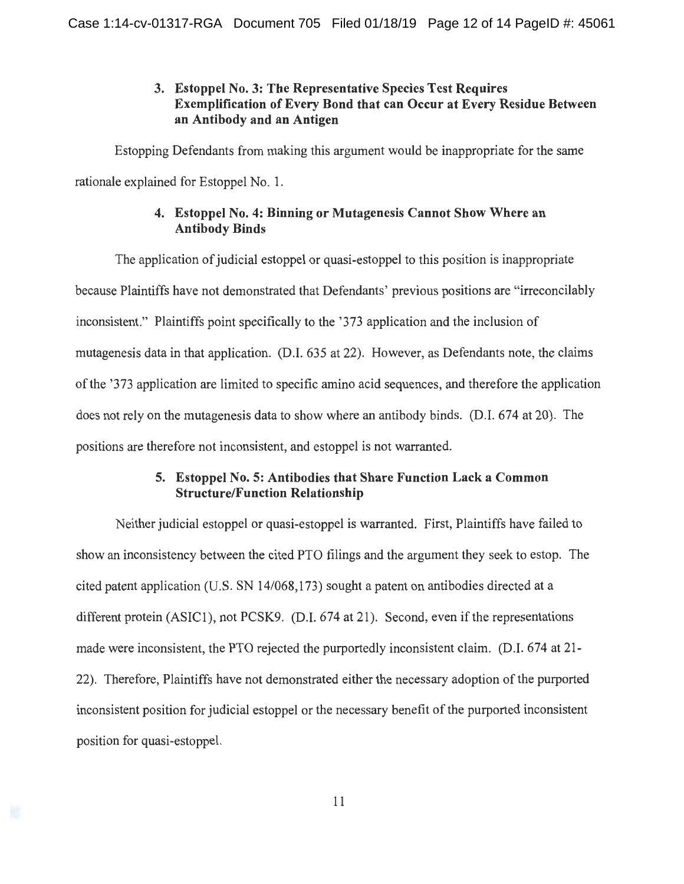## **3. Estoppel No. 3: The Representative Species Test Requires Exemplification of Every Bond that can Occur at Every Residue Between an Antibody and an Antigen**

Estopping Defendants from making this argument would be inappropriate for the same rationale explained for Estoppel No. 1.

## **4. Estoppel No. 4: Binning or Mutagenesis Cannot Show Where an Antibody Binds**

The application of judicial estoppel or quasi-estoppel to this position is inappropriate because Plaintiffs have not demonstrated that Defendants' previous positions are "irreconcilably inconsistent." Plaintiffs point specifically to the '373 application and the inclusion of mutagenesis data in that application. (D.I. 635 at 22). However, as Defendants note, the claims of the '373 application are limited to specific amino acid sequences, and therefore the application does not rely on the mutagenesis data to show where an antibody binds. (D.I. 674 at 20). The positions are therefore not inconsistent, and estoppel is not warranted.

# **5. Estoppel No. 5: Antibodies that Share Function Lack a Common Structure/Function Relationship**

Neither judicial estoppel or quasi-estoppel is warranted. First, Plaintiffs have failed to show an inconsistency between the cited PTO filings and the argument they seek to estop. The cited patent application (U.S. SN 14/068,173) sought a patent on antibodies directed at a different protein (ASIC1), not PCSK9. (D.I. 674 at 21). Second, even if the representations made were inconsistent, the PTO rejected the purportedly inconsistent claim. (D.I. 674 at 21- 22). Therefore, Plaintiffs have not demonstrated either the necessary adoption of the purported inconsistent position for judicial estoppel or the necessary benefit of the purported inconsistent position for quasi-estoppel.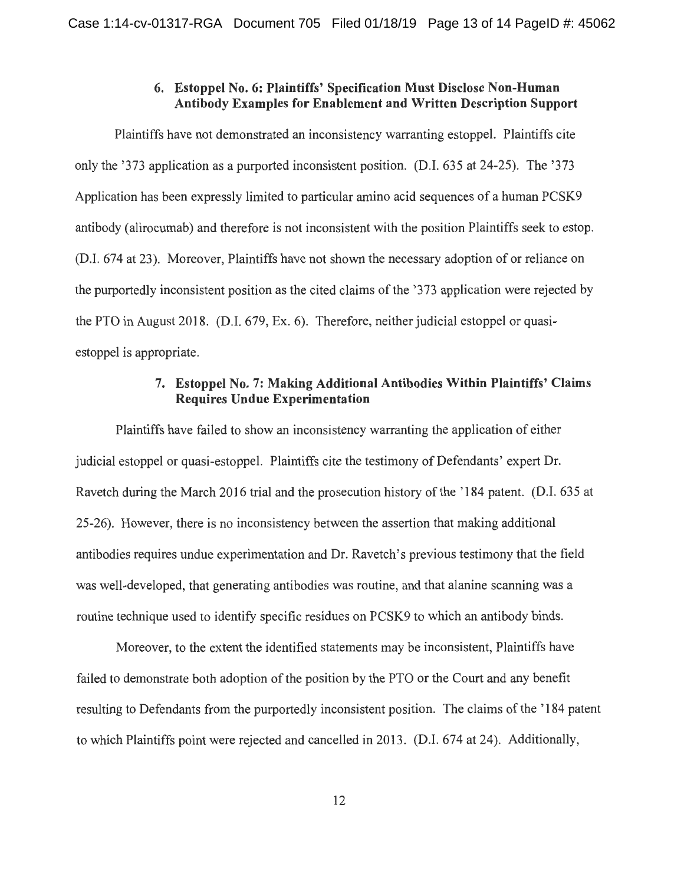### **6. Estoppel No. 6: Plaintiffs' Specification Must Disclose Non-Human Antibody Examples for Enablement and Written Description Support**

Plaintiffs have not demonstrated an inconsistency warranting estoppel. Plaintiffs cite only the '373 application as a purported inconsistent position. (D.I. 635 at 24-25). The '373 Application has been expressly limited to particular amino acid sequences of a human PCSK9 antibody (alirocumab) and therefore is not inconsistent with the position Plaintiffs seek to estop. (D.I. 674 at 23). Moreover, Plaintiffs have not shown the necessary adoption of or reliance on the purportedly inconsistent position as the cited claims of the ' 373 application were rejected by the PTO in August 2018. (D.I. 679, Ex. 6). Therefore, neither judicial estoppel or quasiestoppel is appropriate.

## **7. Estoppel No.** 7: **Making Additional Antibodies Within Plaintiffs' Claims Requires Undue Experimentation**

Plaintiffs have failed to show an inconsistency warranting the application of either judicial estoppel or quasi-estoppel. Plaintiffs cite the testimony of Defendants' expert Dr. Ravetch during the March 2016 trial and the prosecution history of the ' 184 patent. (D.I. 635 at 25-26). However, there is no inconsistency between the assertion that making additional antibodies requires undue experimentation and Dr. Ravetch's previous testimony that the field was well-developed, that generating antibodies was routine, and that alanine scanning was a routine technique used to identify specific residues on PCSK9 to which an antibody binds.

Moreover, to the extent the identified statements may be inconsistent, Plaintiffs have failed to demonstrate both adoption of the position by the PTO or the Court and any benefit resulting to Defendants from the purportedly inconsistent position. The claims of the ' 184 patent to which Plaintiffs point were rejected and cancelled in 2013 . (D.I. 674 at 24). Additionally,